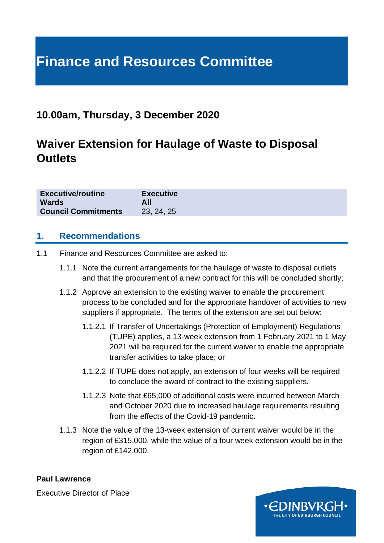## **Finance and Resources Committee**

#### **10.00am, Thursday, 3 December 2020**

### **Waiver Extension for Haulage of Waste to Disposal Outlets**

| <b>Executive/routine</b>   | <b>Executive</b> |
|----------------------------|------------------|
| <b>Wards</b>               |                  |
| <b>Council Commitments</b> | 23, 24, 25       |

#### **1. Recommendations**

- 1.1 Finance and Resources Committee are asked to:
	- 1.1.1 Note the current arrangements for the haulage of waste to disposal outlets and that the procurement of a new contract for this will be concluded shortly;
	- 1.1.2 Approve an extension to the existing waiver to enable the procurement process to be concluded and for the appropriate handover of activities to new suppliers if appropriate. The terms of the extension are set out below:
		- 1.1.2.1 If Transfer of Undertakings (Protection of Employment) Regulations (TUPE) applies, a 13-week extension from 1 February 2021 to 1 May 2021 will be required for the current waiver to enable the appropriate transfer activities to take place; or
		- 1.1.2.2 If TUPE does not apply, an extension of four weeks will be required to conclude the award of contract to the existing suppliers.
		- 1.1.2.3 Note that £65,000 of additional costs were incurred between March and October 2020 due to increased haulage requirements resulting from the effects of the Covid-19 pandemic.
	- 1.1.3 Note the value of the 13-week extension of current waiver would be in the region of £315,000, while the value of a four week extension would be in the region of £142,000.

**Paul Lawrence**

Executive Director of Place

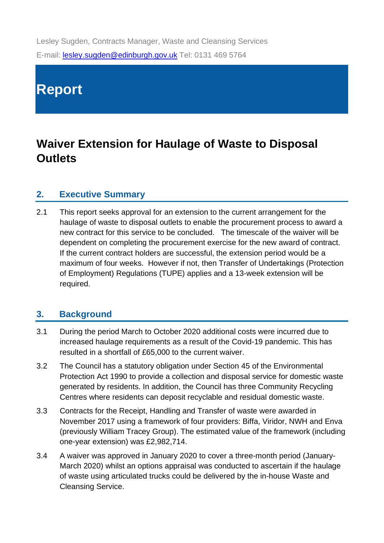Lesley Sugden, Contracts Manager, Waste and Cleansing Services E-mail: [lesley.sugden@edinburgh.gov.uk](mailto:lesley.sugden@edinburgh.gov.uk) Tel: 0131 469 5764

# **Report**

## **Waiver Extension for Haulage of Waste to Disposal Outlets**

#### **2. Executive Summary**

2.1 This report seeks approval for an extension to the current arrangement for the haulage of waste to disposal outlets to enable the procurement process to award a new contract for this service to be concluded. The timescale of the waiver will be dependent on completing the procurement exercise for the new award of contract. If the current contract holders are successful, the extension period would be a maximum of four weeks. However if not, then Transfer of Undertakings (Protection of Employment) Regulations (TUPE) applies and a 13-week extension will be required.

#### **3. Background**

- 3.1 During the period March to October 2020 additional costs were incurred due to increased haulage requirements as a result of the Covid-19 pandemic. This has resulted in a shortfall of £65,000 to the current waiver.
- 3.2 The Council has a statutory obligation under Section 45 of the Environmental Protection Act 1990 to provide a collection and disposal service for domestic waste generated by residents. In addition, the Council has three Community Recycling Centres where residents can deposit recyclable and residual domestic waste.
- 3.3 Contracts for the Receipt, Handling and Transfer of waste were awarded in November 2017 using a framework of four providers: Biffa, Viridor, NWH and Enva (previously William Tracey Group). The estimated value of the framework (including one-year extension) was £2,982,714.
- 3.4 A waiver was approved in January 2020 to cover a three-month period (January-March 2020) whilst an options appraisal was conducted to ascertain if the haulage of waste using articulated trucks could be delivered by the in-house Waste and Cleansing Service.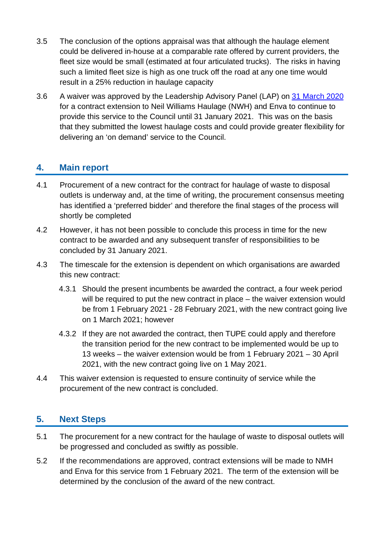- 3.5 The conclusion of the options appraisal was that although the haulage element could be delivered in-house at a comparable rate offered by current providers, the fleet size would be small (estimated at four articulated trucks). The risks in having such a limited fleet size is high as one truck off the road at any one time would result in a 25% reduction in haulage capacity
- 3.6 A waiver was approved by the Leadership Advisory Panel (LAP) on [31 March 2020](https://democracy.edinburgh.gov.uk/documents/s23759/Item%207.4%20-%20Haulage%20of%20waste%20to%20disposal%20outlets.pdf) for a contract extension to Neil Williams Haulage (NWH) and Enva to continue to provide this service to the Council until 31 January 2021. This was on the basis that they submitted the lowest haulage costs and could provide greater flexibility for delivering an 'on demand' service to the Council.

#### **4. Main report**

- 4.1 Procurement of a new contract for the contract for haulage of waste to disposal outlets is underway and, at the time of writing, the procurement consensus meeting has identified a 'preferred bidder' and therefore the final stages of the process will shortly be completed
- 4.2 However, it has not been possible to conclude this process in time for the new contract to be awarded and any subsequent transfer of responsibilities to be concluded by 31 January 2021.
- 4.3 The timescale for the extension is dependent on which organisations are awarded this new contract:
	- 4.3.1 Should the present incumbents be awarded the contract, a four week period will be required to put the new contract in place – the waiver extension would be from 1 February 2021 - 28 February 2021, with the new contract going live on 1 March 2021; however
	- 4.3.2 If they are not awarded the contract, then TUPE could apply and therefore the transition period for the new contract to be implemented would be up to 13 weeks – the waiver extension would be from 1 February 2021 – 30 April 2021, with the new contract going live on 1 May 2021.
- 4.4 This waiver extension is requested to ensure continuity of service while the procurement of the new contract is concluded.

#### **5. Next Steps**

- 5.1 The procurement for a new contract for the haulage of waste to disposal outlets will be progressed and concluded as swiftly as possible.
- 5.2 If the recommendations are approved, contract extensions will be made to NMH and Enva for this service from 1 February 2021. The term of the extension will be determined by the conclusion of the award of the new contract.